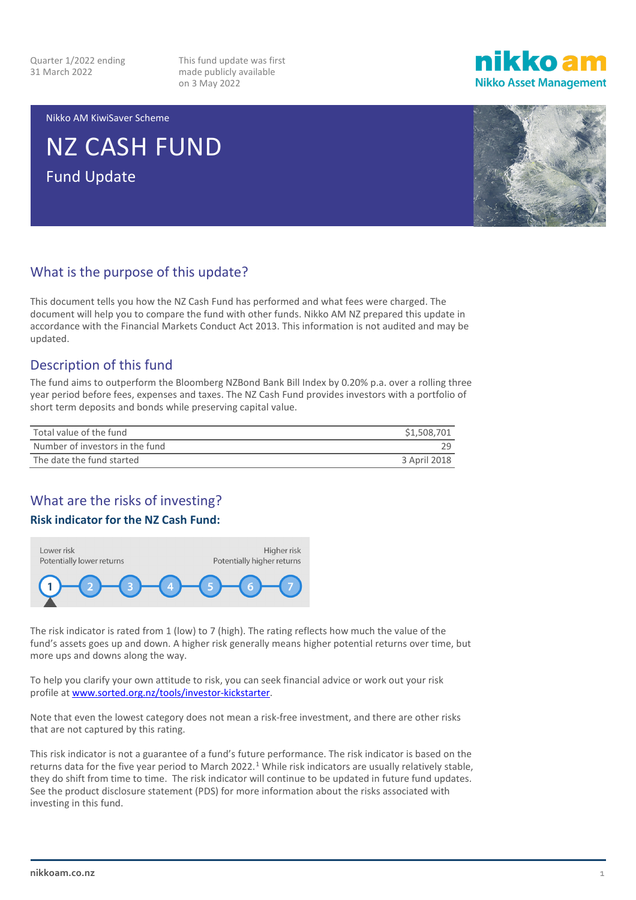Quarter 1/2022 ending 31 March 2022

This fund update was first made publicly available on 3 May 2022

ikko am **Nikko Asset Management** 

Nikko AM KiwiSaver Scheme

NZ CASH FUND Fund Update



#### What is the purpose of this update?

This document tells you how the NZ Cash Fund has performed and what fees were charged. The document will help you to compare the fund with other funds. Nikko AM NZ prepared this update in accordance with the Financial Markets Conduct Act 2013. This information is not audited and may be updated.

#### Description of this fund

The fund aims to outperform the Bloomberg NZBond Bank Bill Index by 0.20% p.a. over a rolling three year period before fees, expenses and taxes. The NZ Cash Fund provides investors with a portfolio of short term deposits and bonds while preserving capital value.

| Total value of the fund         | \$1,508,701  |
|---------------------------------|--------------|
| Number of investors in the fund |              |
| The date the fund started       | 3 April 2018 |

### What are the risks of investing?

#### **Risk indicator for the NZ Cash Fund:**



The risk indicator is rated from 1 (low) to 7 (high). The rating reflects how much the value of the fund's assets goes up and down. A higher risk generally means higher potential returns over time, but more ups and downs along the way.

To help you clarify your own attitude to risk, you can seek financial advice or work out your risk profile a[t www.sorted.org.nz/tools/investor-kickstarter.](http://www.sorted.org.nz/tools/investor-kickstarter)

Note that even the lowest category does not mean a risk-free investment, and there are other risks that are not captured by this rating.

This risk indicator is not a guarantee of a fund's future performance. The risk indicator is based on the returns data for the five year period to March 2022.<sup>[1](#page-4-0)</sup> While risk indicators are usually relatively stable, they do shift from time to time. The risk indicator will continue to be updated in future fund updates. See the product disclosure statement (PDS) for more information about the risks associated with investing in this fund.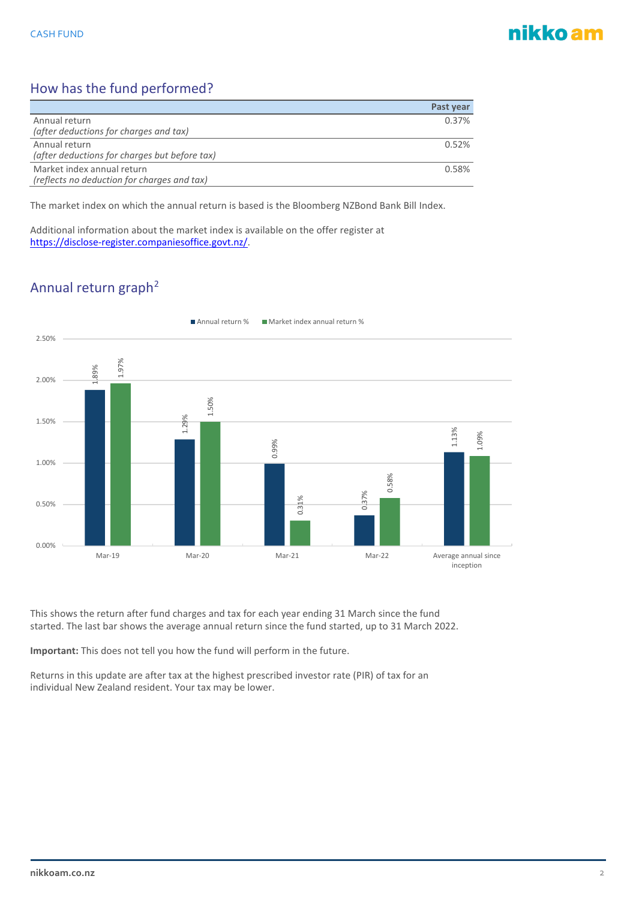## nikko am

### How has the fund performed?

|                                               | Past year |
|-----------------------------------------------|-----------|
| Annual return                                 | 0.37%     |
| (after deductions for charges and tax)        |           |
| Annual return                                 | 0.52%     |
| (after deductions for charges but before tax) |           |
| Market index annual return                    | 0.58%     |
| (reflects no deduction for charges and tax)   |           |

The market index on which the annual return is based is the Bloomberg NZBond Bank Bill Index.

Additional information about the market index is available on the offer register at [https://disclose-register.companiesoffice.govt.nz/.](https://disclose-register.companiesoffice.govt.nz/)

## Annual return graph<sup>[2](#page-4-1)</sup>



This shows the return after fund charges and tax for each year ending 31 March since the fund started. The last bar shows the average annual return since the fund started, up to 31 March 2022.

**Important:** This does not tell you how the fund will perform in the future.

Returns in this update are after tax at the highest prescribed investor rate (PIR) of tax for an individual New Zealand resident. Your tax may be lower.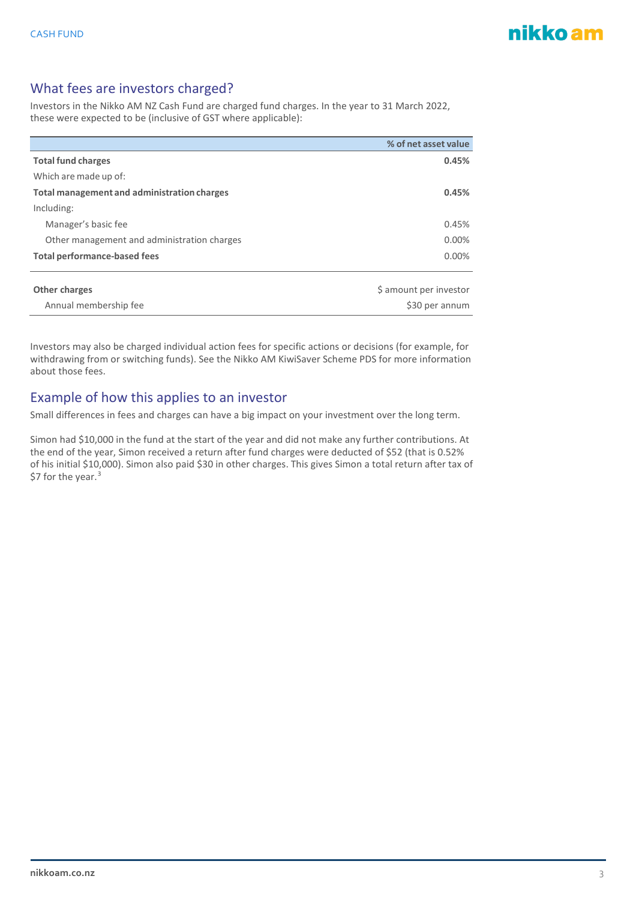#### What fees are investors charged?

Investors in the Nikko AM NZ Cash Fund are charged fund charges. In the year to 31 March 2022, these were expected to be (inclusive of GST where applicable):

|                                             | % of net asset value   |
|---------------------------------------------|------------------------|
| <b>Total fund charges</b>                   | 0.45%                  |
| Which are made up of:                       |                        |
| Total management and administration charges | 0.45%                  |
| Including:                                  |                        |
| Manager's basic fee                         | 0.45%                  |
| Other management and administration charges | $0.00\%$               |
| <b>Total performance-based fees</b>         | 0.00%                  |
|                                             |                        |
| <b>Other charges</b>                        | \$ amount per investor |
| Annual membership fee                       | \$30 per annum         |

Investors may also be charged individual action fees for specific actions or decisions (for example, for withdrawing from or switching funds). See the Nikko AM KiwiSaver Scheme PDS for more information about those fees.

#### Example of how this applies to an investor

Small differences in fees and charges can have a big impact on your investment over the long term.

Simon had \$10,000 in the fund at the start of the year and did not make any further contributions. At the end of the year, Simon received a return after fund charges were deducted of \$52 (that is 0.52% of his initial \$10,000). Simon also paid \$30 in other charges. This gives Simon a total return after tax of \$7 for the year.<sup>[3](#page-4-2)</sup>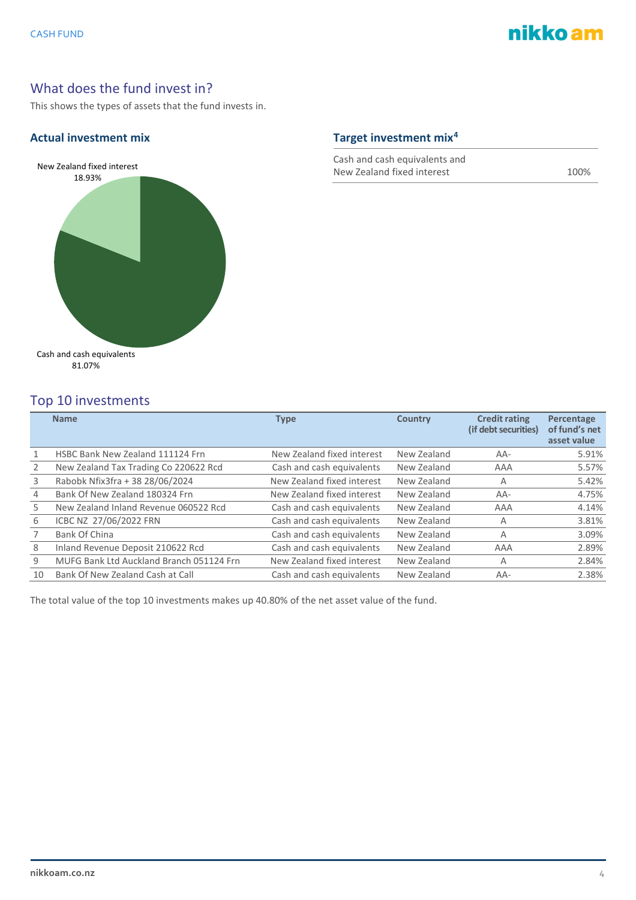

#### What does the fund invest in?

This shows the types of assets that the fund invests in.

#### **Actual investment mix Target investment mix[4](#page-4-3)**



Cash and cash equivalents and New Zealand fixed interest 100%

| Top 10 investments |                                          |                            |                |                                              |                                            |  |
|--------------------|------------------------------------------|----------------------------|----------------|----------------------------------------------|--------------------------------------------|--|
|                    | <b>Name</b>                              | <b>Type</b>                | <b>Country</b> | <b>Credit rating</b><br>(if debt securities) | Percentage<br>of fund's net<br>asset value |  |
| 1                  | HSBC Bank New Zealand 111124 Frn         | New Zealand fixed interest | New Zealand    | AA-                                          | 5.91%                                      |  |
| 2                  | New Zealand Tax Trading Co 220622 Rcd    | Cash and cash equivalents  | New Zealand    | AAA                                          | 5.57%                                      |  |
| 3                  | Rabobk Nfix3fra + 38 28/06/2024          | New Zealand fixed interest | New Zealand    | Α                                            | 5.42%                                      |  |
| 4                  | Bank Of New Zealand 180324 Frn           | New Zealand fixed interest | New Zealand    | AA-                                          | 4.75%                                      |  |
| 5                  | New Zealand Inland Revenue 060522 Rcd    | Cash and cash equivalents  | New Zealand    | AAA                                          | 4.14%                                      |  |
| 6                  | ICBC NZ 27/06/2022 FRN                   | Cash and cash equivalents  | New Zealand    | Α                                            | 3.81%                                      |  |
|                    | Bank Of China                            | Cash and cash equivalents  | New Zealand    | A                                            | 3.09%                                      |  |
| 8                  | Inland Revenue Deposit 210622 Rcd        | Cash and cash equivalents  | New Zealand    | AAA                                          | 2.89%                                      |  |
| 9                  | MUFG Bank Ltd Auckland Branch 051124 Frn | New Zealand fixed interest | New Zealand    | Α                                            | 2.84%                                      |  |
| 10                 | Bank Of New Zealand Cash at Call         | Cash and cash equivalents  | New Zealand    | AA-                                          | 2.38%                                      |  |

The total value of the top 10 investments makes up 40.80% of the net asset value of the fund.